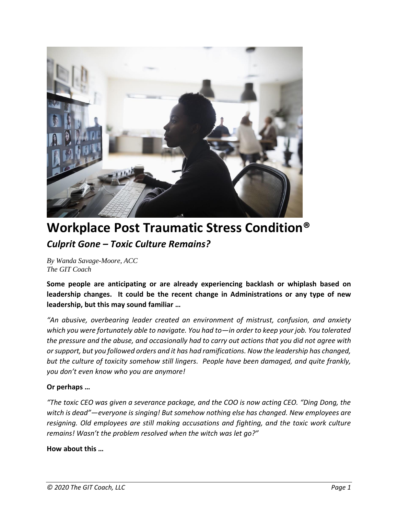

## **Workplace Post Traumatic Stress Condition®** *Culprit Gone – Toxic Culture Remains?*

*By Wanda Savage-Moore, ACC The GIT Coach*

**Some people are anticipating or are already experiencing backlash or whiplash based on leadership changes. It could be the recent change in Administrations or any type of new leadership, but this may sound familiar …**

*"An abusive, overbearing leader created an environment of mistrust, confusion, and anxiety which you were fortunately able to navigate. You had to—in order to keep your job. You tolerated the pressure and the abuse, and occasionally had to carry out actions that you did not agree with or support, but you followed orders and it has had ramifications. Now the leadership has changed, but the culture of toxicity somehow still lingers. People have been damaged, and quite frankly, you don't even know who you are anymore!*

## **Or perhaps …**

*"The toxic CEO was given a severance package, and the COO is now acting CEO. "Ding Dong, the witch is dead"—everyone is singing! But somehow nothing else has changed. New employees are resigning. Old employees are still making accusations and fighting, and the toxic work culture remains! Wasn't the problem resolved when the witch was let go?"*

## **How about this …**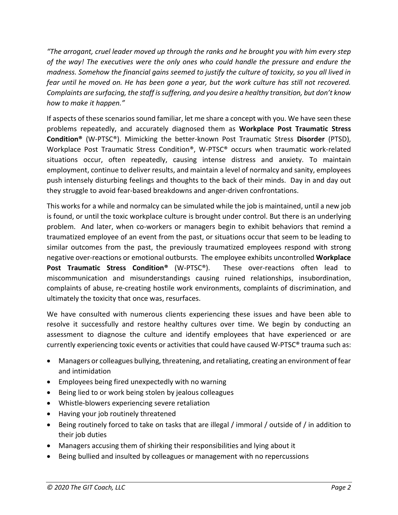*"The arrogant, cruel leader moved up through the ranks and he brought you with him every step of the way! The executives were the only ones who could handle the pressure and endure the madness. Somehow the financial gains seemed to justify the culture of toxicity, so you all lived in fear until he moved on. He has been gone a year, but the work culture has still not recovered. Complaints are surfacing, the staff is suffering, and you desire a healthy transition, but don't know how to make it happen."*

If aspects of these scenarios sound familiar, let me share a concept with you. We have seen these problems repeatedly, and accurately diagnosed them as **Workplace Post Traumatic Stress Condition®** (W-PTSC®). Mimicking the better-known Post Traumatic Stress **Disorder** (PTSD), Workplace Post Traumatic Stress Condition®, W-PTSC® occurs when traumatic work-related situations occur, often repeatedly, causing intense distress and anxiety. To maintain employment, continue to deliver results, and maintain a level of normalcy and sanity, employees push intensely disturbing feelings and thoughts to the back of their minds. Day in and day out they struggle to avoid fear-based breakdowns and anger-driven confrontations.

This works for a while and normalcy can be simulated while the job is maintained, until a new job is found, or until the toxic workplace culture is brought under control. But there is an underlying problem. And later, when co-workers or managers begin to exhibit behaviors that remind a traumatized employee of an event from the past, or situations occur that seem to be leading to similar outcomes from the past, the previously traumatized employees respond with strong negative over-reactions or emotional outbursts. The employee exhibits uncontrolled **Workplace Post Traumatic Stress Condition®** (W-PTSC®). These over-reactions often lead to miscommunication and misunderstandings causing ruined relationships, insubordination, complaints of abuse, re-creating hostile work environments, complaints of discrimination, and ultimately the toxicity that once was, resurfaces.

We have consulted with numerous clients experiencing these issues and have been able to resolve it successfully and restore healthy cultures over time. We begin by conducting an assessment to diagnose the culture and identify employees that have experienced or are currently experiencing toxic events or activities that could have caused W-PTSC® trauma such as:

- Managers or colleagues bullying, threatening, and retaliating, creating an environment of fear and intimidation
- Employees being fired unexpectedly with no warning
- Being lied to or work being stolen by jealous colleagues
- Whistle-blowers experiencing severe retaliation
- Having your job routinely threatened
- Being routinely forced to take on tasks that are illegal / immoral / outside of / in addition to their job duties
- Managers accusing them of shirking their responsibilities and lying about it
- Being bullied and insulted by colleagues or management with no repercussions